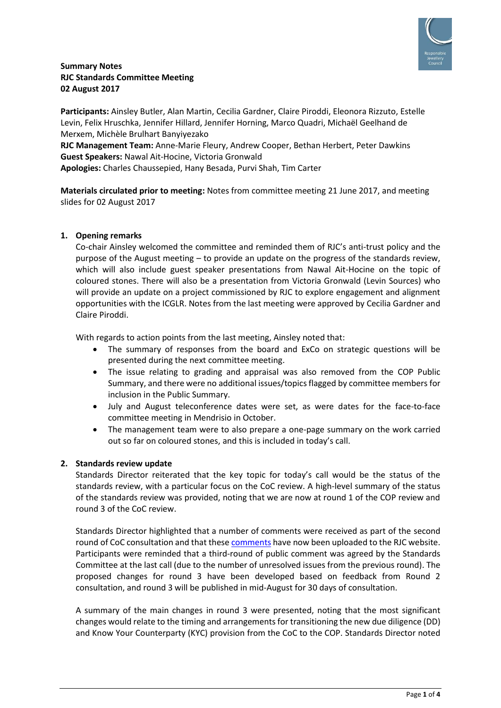

# **Summary Notes RJC Standards Committee Meeting 02 August 2017**

**Participants:** Ainsley Butler, Alan Martin, Cecilia Gardner, Claire Piroddi, Eleonora Rizzuto, Estelle Levin, Felix Hruschka, Jennifer Hillard, Jennifer Horning, Marco Quadri, Michaël Geelhand de Merxem, Michèle Brulhart Banyiyezako

**RJC Management Team:** Anne-Marie Fleury, Andrew Cooper, Bethan Herbert, Peter Dawkins **Guest Speakers:** Nawal Ait-Hocine, Victoria Gronwald **Apologies:** Charles Chaussepied, Hany Besada, Purvi Shah, Tim Carter

**Materials circulated prior to meeting:** Notes from committee meeting 21 June 2017, and meeting slides for 02 August 2017

# **1. Opening remarks**

Co-chair Ainsley welcomed the committee and reminded them of RJC's anti-trust policy and the purpose of the August meeting – to provide an update on the progress of the standards review, which will also include guest speaker presentations from Nawal Ait-Hocine on the topic of coloured stones. There will also be a presentation from Victoria Gronwald (Levin Sources) who will provide an update on a project commissioned by RJC to explore engagement and alignment opportunities with the ICGLR. Notes from the last meeting were approved by Cecilia Gardner and Claire Piroddi.

With regards to action points from the last meeting, Ainsley noted that:

- The summary of responses from the board and ExCo on strategic questions will be presented during the next committee meeting.
- The issue relating to grading and appraisal was also removed from the COP Public Summary, and there were no additional issues/topics flagged by committee members for inclusion in the Public Summary.
- July and August teleconference dates were set, as were dates for the face-to-face committee meeting in Mendrisio in October.
- The management team were to also prepare a one-page summary on the work carried out so far on coloured stones, and this is included in today's call.

# **2. Standards review update**

Standards Director reiterated that the key topic for today's call would be the status of the standards review, with a particular focus on the CoC review. A high-level summary of the status of the standards review was provided, noting that we are now at round 1 of the COP review and round 3 of the CoC review.

Standards Director highlighted that a number of comments were received as part of the second round of CoC consultation and that these [comments](http://www.responsiblejewellery.com/files/Comment-report-on-round-2-consultation-RJC-CoC-Review_Final-1.pdf) have now been uploaded to the RJC website. Participants were reminded that a third-round of public comment was agreed by the Standards Committee at the last call (due to the number of unresolved issues from the previous round). The proposed changes for round 3 have been developed based on feedback from Round 2 consultation, and round 3 will be published in mid-August for 30 days of consultation.

A summary of the main changes in round 3 were presented, noting that the most significant changes would relate to the timing and arrangements for transitioning the new due diligence (DD) and Know Your Counterparty (KYC) provision from the CoC to the COP. Standards Director noted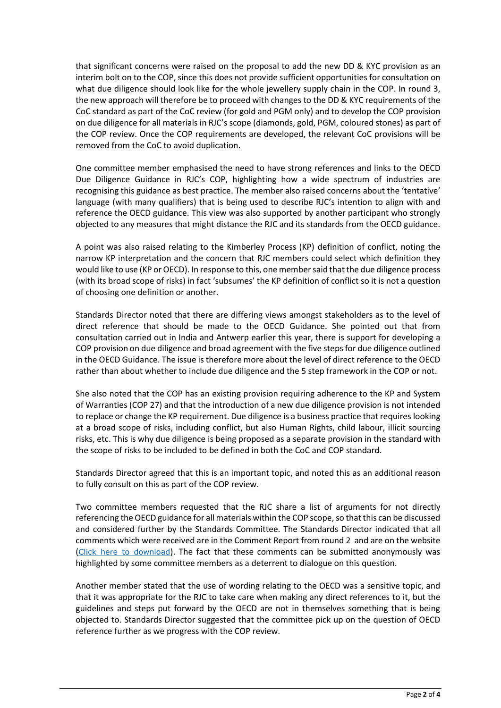that significant concerns were raised on the proposal to add the new DD & KYC provision as an interim bolt on to the COP, since this does not provide sufficient opportunities for consultation on what due diligence should look like for the whole jewellery supply chain in the COP. In round 3, the new approach will therefore be to proceed with changes to the DD & KYC requirements of the CoC standard as part of the CoC review (for gold and PGM only) and to develop the COP provision on due diligence for all materials in RJC's scope (diamonds, gold, PGM, coloured stones) as part of the COP review. Once the COP requirements are developed, the relevant CoC provisions will be removed from the CoC to avoid duplication.

One committee member emphasised the need to have strong references and links to the OECD Due Diligence Guidance in RJC's COP, highlighting how a wide spectrum of industries are recognising this guidance as best practice. The member also raised concerns about the 'tentative' language (with many qualifiers) that is being used to describe RJC's intention to align with and reference the OECD guidance. This view was also supported by another participant who strongly objected to any measures that might distance the RJC and its standards from the OECD guidance.

A point was also raised relating to the Kimberley Process (KP) definition of conflict, noting the narrow KP interpretation and the concern that RJC members could select which definition they would like to use (KP or OECD). In response to this, one member said that the due diligence process (with its broad scope of risks) in fact 'subsumes' the KP definition of conflict so it is not a question of choosing one definition or another.

Standards Director noted that there are differing views amongst stakeholders as to the level of direct reference that should be made to the OECD Guidance. She pointed out that from consultation carried out in India and Antwerp earlier this year, there is support for developing a COP provision on due diligence and broad agreement with the five steps for due diligence outlined in the OECD Guidance. The issue is therefore more about the level of direct reference to the OECD rather than about whether to include due diligence and the 5 step framework in the COP or not.

She also noted that the COP has an existing provision requiring adherence to the KP and System of Warranties (COP 27) and that the introduction of a new due diligence provision is not intended to replace or change the KP requirement. Due diligence is a business practice that requires looking at a broad scope of risks, including conflict, but also Human Rights, child labour, illicit sourcing risks, etc. This is why due diligence is being proposed as a separate provision in the standard with the scope of risks to be included to be defined in both the CoC and COP standard.

Standards Director agreed that this is an important topic, and noted this as an additional reason to fully consult on this as part of the COP review.

Two committee members requested that the RJC share a list of arguments for not directly referencing the OECD guidance for all materials within the COP scope, so that this can be discussed and considered further by the Standards Committee. The Standards Director indicated that all comments which were received are in the Comment Report from round 2 and are on the website (Click here to [download](http://www.responsiblejewellery.com/files/Comment-report-on-round-2-consultation-RJC-CoC-Review_Final-1.pdf)). The fact that these comments can be submitted anonymously was highlighted by some committee members as a deterrent to dialogue on this question.

Another member stated that the use of wording relating to the OECD was a sensitive topic, and that it was appropriate for the RJC to take care when making any direct references to it, but the guidelines and steps put forward by the OECD are not in themselves something that is being objected to. Standards Director suggested that the committee pick up on the question of OECD reference further as we progress with the COP review.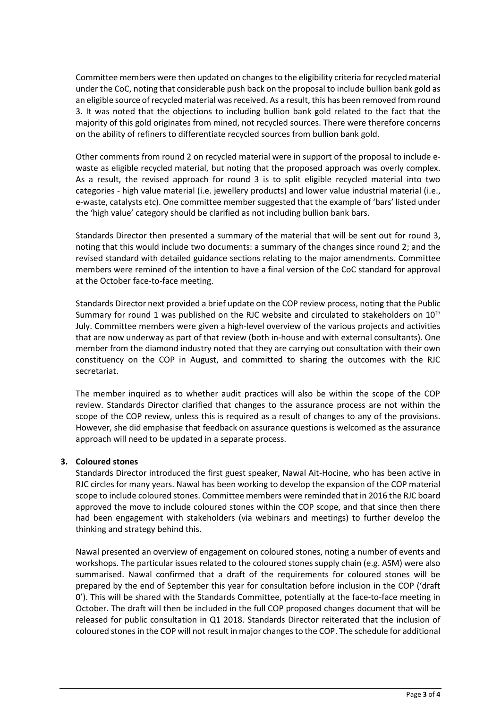Committee members were then updated on changes to the eligibility criteria for recycled material under the CoC, noting that considerable push back on the proposal to include bullion bank gold as an eligible source of recycled material was received. As a result, this has been removed from round 3. It was noted that the objections to including bullion bank gold related to the fact that the majority of this gold originates from mined, not recycled sources. There were therefore concerns on the ability of refiners to differentiate recycled sources from bullion bank gold.

Other comments from round 2 on recycled material were in support of the proposal to include ewaste as eligible recycled material, but noting that the proposed approach was overly complex. As a result, the revised approach for round 3 is to split eligible recycled material into two categories - high value material (i.e. jewellery products) and lower value industrial material (i.e., e-waste, catalysts etc). One committee member suggested that the example of 'bars' listed under the 'high value' category should be clarified as not including bullion bank bars.

Standards Director then presented a summary of the material that will be sent out for round 3, noting that this would include two documents: a summary of the changes since round 2; and the revised standard with detailed guidance sections relating to the major amendments. Committee members were remined of the intention to have a final version of the CoC standard for approval at the October face-to-face meeting.

Standards Director next provided a brief update on the COP review process, noting that the Public Summary for round 1 was published on the RJC website and circulated to stakeholders on 10<sup>th</sup> July. Committee members were given a high-level overview of the various projects and activities that are now underway as part of that review (both in-house and with external consultants). One member from the diamond industry noted that they are carrying out consultation with their own constituency on the COP in August, and committed to sharing the outcomes with the RJC secretariat.

The member inquired as to whether audit practices will also be within the scope of the COP review. Standards Director clarified that changes to the assurance process are not within the scope of the COP review, unless this is required as a result of changes to any of the provisions. However, she did emphasise that feedback on assurance questions is welcomed as the assurance approach will need to be updated in a separate process.

# **3. Coloured stones**

Standards Director introduced the first guest speaker, Nawal Ait-Hocine, who has been active in RJC circles for many years. Nawal has been working to develop the expansion of the COP material scope to include coloured stones. Committee members were reminded that in 2016 the RJC board approved the move to include coloured stones within the COP scope, and that since then there had been engagement with stakeholders (via webinars and meetings) to further develop the thinking and strategy behind this.

Nawal presented an overview of engagement on coloured stones, noting a number of events and workshops. The particular issues related to the coloured stones supply chain (e.g. ASM) were also summarised. Nawal confirmed that a draft of the requirements for coloured stones will be prepared by the end of September this year for consultation before inclusion in the COP ('draft 0'). This will be shared with the Standards Committee, potentially at the face-to-face meeting in October. The draft will then be included in the full COP proposed changes document that will be released for public consultation in Q1 2018. Standards Director reiterated that the inclusion of coloured stones in the COP will not result in major changes to the COP. The schedule for additional